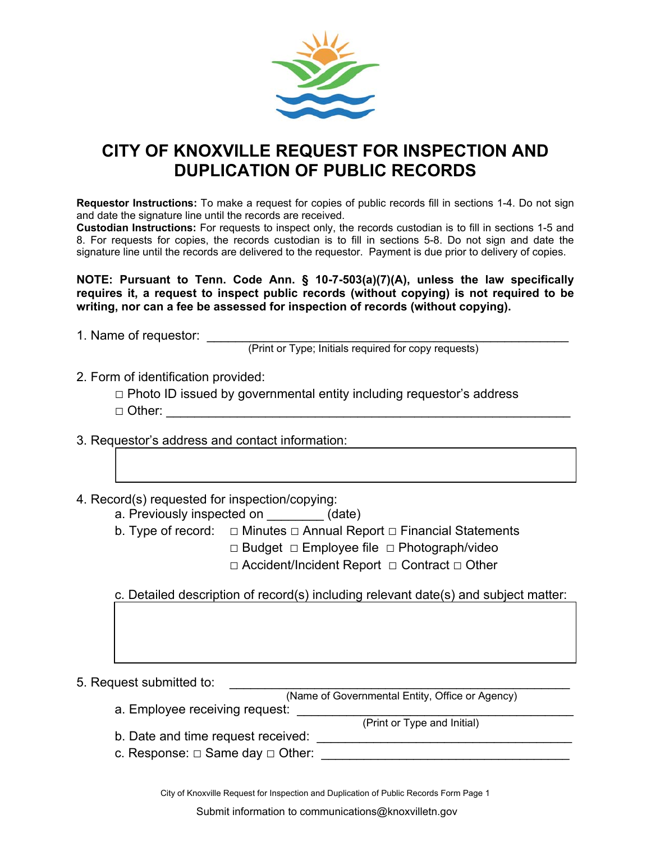

## **CITY OF KNOXVILLE REQUEST FOR INSPECTION AND DUPLICATION OF PUBLIC RECORDS**

**Requestor Instructions:** To make a request for copies of public records fill in sections 1-4. Do not sign and date the signature line until the records are received.

**Custodian Instructions:** For requests to inspect only, the records custodian is to fill in sections 1-5 and 8. For requests for copies, the records custodian is to fill in sections 5-8. Do not sign and date the signature line until the records are delivered to the requestor. Payment is due prior to delivery of copies.

**NOTE: Pursuant to Tenn. Code Ann. § 10-7-503(a)(7)(A), unless the law specifically requires it, a request to inspect public records (without copying) is not required to be writing, nor can a fee be assessed for inspection of records (without copying).** 

1. Name of requestor: \_\_\_\_\_\_\_\_

(Print or Type; Initials required for copy requests)

- 2. Form of identification provided:
	- **□** Photo ID issued by governmental entity including requestor's address □ Other: \_\_\_\_\_\_\_\_\_\_\_\_\_\_\_\_\_\_\_\_\_\_\_\_\_\_\_\_\_\_\_\_\_\_\_\_\_\_\_\_\_\_\_\_\_\_\_\_\_\_\_\_\_\_\_\_\_
- 3. Requestor's address and contact information:
- 4. Record(s) requested for inspection/copying:
	- a. Previously inspected on  $(date)$
	- b. Type of record:  $\Box$  Minutes  $\Box$  Annual Report  $\Box$  Financial Statements
		- □ Budget □ Employee file □ Photograph/video
		- □ Accident/Incident Report □ Contract □ Other

c. Detailed description of record(s) including relevant date(s) and subject matter:

5. Request submitted to:

(Name of Governmental Entity, Office or Agency)

a. Employee receiving request: \_\_\_\_\_\_\_\_\_\_\_\_\_\_\_\_\_\_\_\_\_\_\_\_\_\_\_\_\_\_\_\_\_\_\_\_\_\_\_

(Print or Type and Initial)

b. Date and time request received: \_\_\_\_\_\_\_\_\_\_\_\_\_\_\_\_\_\_\_\_\_\_\_\_\_\_\_\_\_\_\_\_\_\_\_\_

c. Response:  $\Box$  Same day  $\Box$  Other:

City of Knoxville Request for Inspection and Duplication of Public Records Form Page 1

Submit information to communications@knoxvilletn.gov